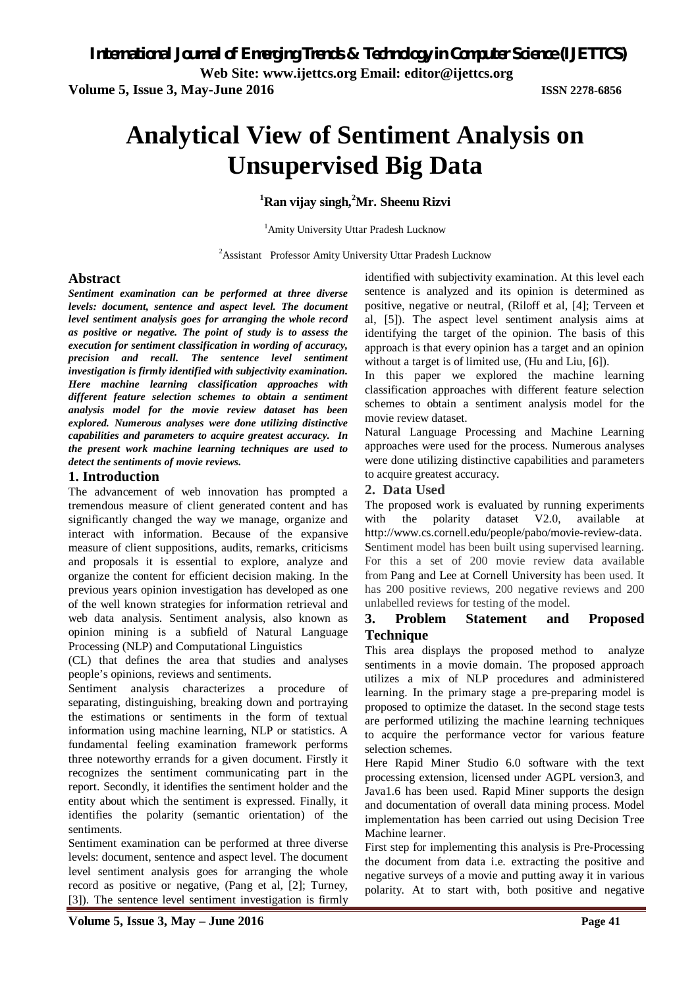**Web Site: www.ijettcs.org Email: editor@ijettcs.org** 

**Volume 5, Issue 3, May-June 2016 ISSN 2278-6856**

# **Analytical View of Sentiment Analysis on Unsupervised Big Data**

**<sup>1</sup>Ran vijay singh, <sup>2</sup>Mr. Sheenu Rizvi**

<sup>1</sup>Amity University Uttar Pradesh Lucknow

<sup>2</sup> Assistant Professor Amity University Uttar Pradesh Lucknow

### **Abstract**

*Sentiment examination can be performed at three diverse levels: document, sentence and aspect level. The document level sentiment analysis goes for arranging the whole record as positive or negative. The point of study is to assess the execution for sentiment classification in wording of accuracy, precision and recall. The sentence level sentiment investigation is firmly identified with subjectivity examination. Here machine learning classification approaches with different feature selection schemes to obtain a sentiment analysis model for the movie review dataset has been explored. Numerous analyses were done utilizing distinctive capabilities and parameters to acquire greatest accuracy. In the present work machine learning techniques are used to detect the sentiments of movie reviews.*

### **1. Introduction**

The advancement of web innovation has prompted a tremendous measure of client generated content and has significantly changed the way we manage, organize and interact with information. Because of the expansive measure of client suppositions, audits, remarks, criticisms and proposals it is essential to explore, analyze and organize the content for efficient decision making. In the previous years opinion investigation has developed as one of the well known strategies for information retrieval and web data analysis. Sentiment analysis, also known as opinion mining is a subfield of Natural Language Processing (NLP) and Computational Linguistics

(CL) that defines the area that studies and analyses people's opinions, reviews and sentiments.

Sentiment analysis characterizes a procedure of separating, distinguishing, breaking down and portraying the estimations or sentiments in the form of textual information using machine learning, NLP or statistics. A fundamental feeling examination framework performs three noteworthy errands for a given document. Firstly it recognizes the sentiment communicating part in the report. Secondly, it identifies the sentiment holder and the entity about which the sentiment is expressed. Finally, it identifies the polarity (semantic orientation) of the sentiments.

Sentiment examination can be performed at three diverse levels: document, sentence and aspect level. The document level sentiment analysis goes for arranging the whole record as positive or negative, (Pang et al, [2]; Turney, [3]). The sentence level sentiment investigation is firmly

identified with subjectivity examination. At this level each sentence is analyzed and its opinion is determined as positive, negative or neutral, (Riloff et al, [4]; Terveen et al, [5]). The aspect level sentiment analysis aims at identifying the target of the opinion. The basis of this approach is that every opinion has a target and an opinion without a target is of limited use, (Hu and Liu, [6]).

In this paper we explored the machine learning classification approaches with different feature selection schemes to obtain a sentiment analysis model for the movie review dataset.

Natural Language Processing and Machine Learning approaches were used for the process. Numerous analyses were done utilizing distinctive capabilities and parameters to acquire greatest accuracy.

#### **2. Data Used**

The proposed work is evaluated by running experiments with the polarity dataset V2.0, available at http://www.cs.cornell.edu/people/pabo/movie-review-data. Sentiment model has been built using supervised learning. For this a set of 200 movie review data available from Pang and Lee at Cornell University has been used. It has 200 positive reviews, 200 negative reviews and 200 unlabelled reviews for testing of the model.

# **3. Problem Statement and Proposed Technique**

This area displays the proposed method to analyze sentiments in a movie domain. The proposed approach utilizes a mix of NLP procedures and administered learning. In the primary stage a pre-preparing model is proposed to optimize the dataset. In the second stage tests are performed utilizing the machine learning techniques to acquire the performance vector for various feature selection schemes.

Here Rapid Miner Studio 6.0 software with the text processing extension, licensed under AGPL version3, and Java1.6 has been used. Rapid Miner supports the design and documentation of overall data mining process. Model implementation has been carried out using Decision Tree Machine learner.

First step for implementing this analysis is Pre-Processing the document from data i.e. extracting the positive and negative surveys of a movie and putting away it in various polarity. At to start with, both positive and negative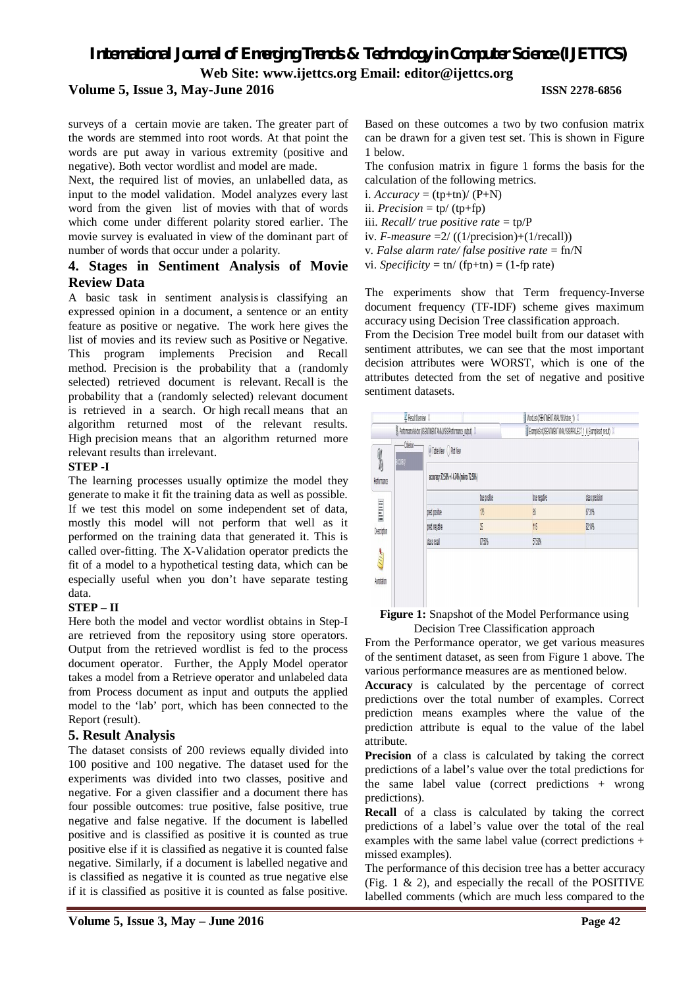# *International Journal of Emerging Trends & Technology in Computer Science (IJETTCS)* **Web Site: www.ijettcs.org Email: editor@ijettcs.org**

### **Volume 5, Issue 3, May-June 2016 ISSN 2278-6856**

surveys of a certain movie are taken. The greater part of the words are stemmed into root words. At that point the words are put away in various extremity (positive and negative). Both vector wordlist and model are made.

Next, the required list of movies, an unlabelled data, as input to the model validation. Model analyzes every last word from the given list of movies with that of words which come under different polarity stored earlier. The movie survey is evaluated in view of the dominant part of number of words that occur under a polarity.

# **4. Stages in Sentiment Analysis of Movie Review Data**

A basic task in sentiment analysisis classifying an expressed opinion in a document, a sentence or an entity feature as positive or negative. The work here gives the list of movies and its review such as Positive or Negative. This program implements Precision and Recall method. Precision is the probability that a (randomly selected) retrieved document is relevant. Recall is the probability that a (randomly selected) relevant document is retrieved in a search. Or high recall means that an algorithm returned most of the relevant results. High precision means that an algorithm returned more relevant results than irrelevant.

#### **STEP -I**

The learning processes usually optimize the model they generate to make it fit the training data as well as possible. If we test this model on some independent set of data, mostly this model will not perform that well as it performed on the training data that generated it. This is called over-fitting. The X-Validation operator predicts the fit of a model to a hypothetical testing data, which can be especially useful when you don't have separate testing data.

#### **STEP – II**

Here both the model and vector wordlist obtains in Step-I are retrieved from the repository using store operators. Output from the retrieved wordlist is fed to the process document operator. Further, the Apply Model operator takes a model from a Retrieve operator and unlabeled data from Process document as input and outputs the applied model to the 'lab' port, which has been connected to the Report (result).

#### **5. Result Analysis**

The dataset consists of 200 reviews equally divided into 100 positive and 100 negative. The dataset used for the experiments was divided into two classes, positive and negative. For a given classifier and a document there has four possible outcomes: true positive, false positive, true negative and false negative. If the document is labelled positive and is classified as positive it is counted as true positive else if it is classified as negative it is counted false negative. Similarly, if a document is labelled negative and is classified as negative it is counted as true negative else if it is classified as positive it is counted as false positive.

Based on these outcomes a two by two confusion matrix can be drawn for a given test set. This is shown in Figure 1 below.

The confusion matrix in figure 1 forms the basis for the calculation of the following metrics.

- i.  $Accuracy = (tp+tn)/(P+N)$
- ii.  $Precision = \text{tp}/(\text{tp+fp})$
- iii. *Recall/ true positive rate* = tp/P
- iv. *F-measure*  $=2/ ((1/precision)+(1/recall))$
- v. *False alarm rate/ false positive rate* = fn/N
- vi. *Specificity* = tn/ (fp+tn) =  $(1$ -fp rate)

The experiments show that Term frequency-Inverse document frequency (TF-IDF) scheme gives maximum accuracy using Decision Tree classification approach.

From the Decision Tree model built from our dataset with sentiment attributes, we can see that the most important decision attributes were WORST, which is one of the attributes detected from the set of negative and positive sentiment datasets.

|                 | Result Overview X    |                                                                                                       |                  | Worlist (ISENTINENT ANALYSIS/store 1)                                |                 |  |  |  |
|-----------------|----------------------|-------------------------------------------------------------------------------------------------------|------------------|----------------------------------------------------------------------|-----------------|--|--|--|
|                 |                      | % Performance/Actor (ISENTIMENT ANALYSIS/Performance_cutput) . XI                                     |                  | Example Set (ISE) MINENT ANALYSIS PROJECT_1_A_Exampleset_result( ) X |                 |  |  |  |
| 1<br>Pertomance | -Crienn-<br>accuracy | $\textcircled{a}$ Table View $\textcircled{)}$ Plot View<br>accuracy: 72.50% +1-4.74% (mikro: 72.50%) |                  |                                                                      |                 |  |  |  |
|                 |                      |                                                                                                       | <b>trepisive</b> | the negative                                                         | class precision |  |  |  |
| E               |                      | pred positive                                                                                         | 15               | 16                                                                   | 67.31%          |  |  |  |
| Description     |                      | pred negative                                                                                         | 25               | 115                                                                  | <b>21%</b>      |  |  |  |
|                 |                      | dass recall                                                                                           | 87.50%           | 5751%                                                                |                 |  |  |  |
| Cong<br>Andalun |                      |                                                                                                       |                  |                                                                      |                 |  |  |  |

**Figure 1:** Snapshot of the Model Performance using Decision Tree Classification approach

From the Performance operator, we get various measures of the sentiment dataset, as seen from Figure 1 above. The various performance measures are as mentioned below.

**Accuracy** is calculated by the percentage of correct predictions over the total number of examples. Correct prediction means examples where the value of the prediction attribute is equal to the value of the label attribute.

**Precision** of a class is calculated by taking the correct predictions of a label's value over the total predictions for the same label value (correct predictions + wrong predictions).

**Recall** of a class is calculated by taking the correct predictions of a label's value over the total of the real examples with the same label value (correct predictions + missed examples).

The performance of this decision tree has a better accuracy (Fig. 1 & 2), and especially the recall of the POSITIVE labelled comments (which are much less compared to the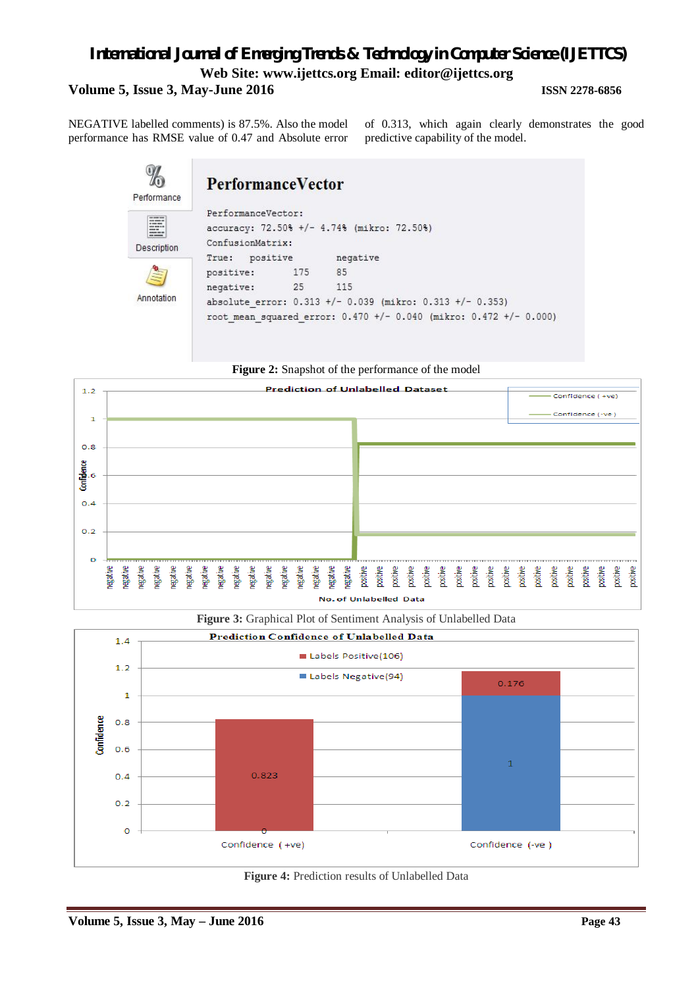# *International Journal of Emerging Trends & Technology in Computer Science (IJETTCS)* **Web Site: www.ijettcs.org Email: editor@ijettcs.org Volume 5, Issue 3, May-June 2016 ISSN 2278-6856**

NEGATIVE labelled comments) is 87.5%. Also the model performance has RMSE value of 0.47 and Absolute error

p.

of 0.313, which again clearly demonstrates the good predictive capability of the model.

| Performance                                                                           | <b>PerformanceVector</b>                                                             |     |          |  |  |  |  |
|---------------------------------------------------------------------------------------|--------------------------------------------------------------------------------------|-----|----------|--|--|--|--|
| <b><i>DESCRIPTION AND</i></b><br><b><i><u>STATISTICS</u></i></b><br>--<br>Description | PerformanceVector:<br>accuracy: 72.50% +/- 4.74% (mikro: 72.50%)<br>ConfusionMatrix: |     |          |  |  |  |  |
|                                                                                       | True: positive                                                                       |     | negative |  |  |  |  |
| 1119                                                                                  | positive:                                                                            | 175 | 85       |  |  |  |  |
|                                                                                       | negative:                                                                            | 25  | 115      |  |  |  |  |
| Annotation                                                                            | absolute error: 0.313 +/- 0.039 (mikro: 0.313 +/- 0.353)                             |     |          |  |  |  |  |
|                                                                                       | root mean squared error: 0.470 +/- 0.040 (mikro: 0.472 +/- 0.000)                    |     |          |  |  |  |  |

# **Figure 2:** Snapshot of the performance of the model



**Figure 3:** Graphical Plot of Sentiment Analysis of Unlabelled Data